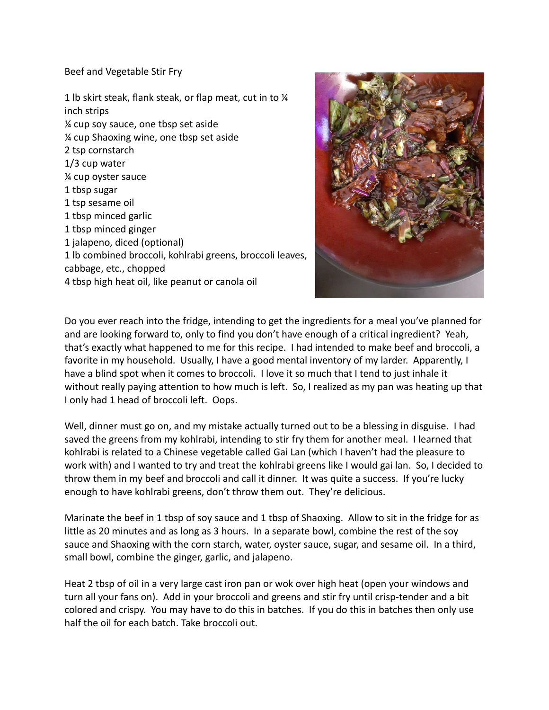Beef and Vegetable Stir Fry

1 lb skirt steak, flank steak, or flap meat, cut in to ¼ inch strips ¼ cup soy sauce, one tbsp set aside ¼ cup Shaoxing wine, one tbsp set aside 2 tsp cornstarch 1/3 cup water ¼ cup oyster sauce 1 tbsp sugar 1 tsp sesame oil 1 tbsp minced garlic 1 tbsp minced ginger 1 jalapeno, diced (optional) 1 lb combined broccoli, kohlrabi greens, broccoli leaves, cabbage, etc., chopped 4 tbsp high heat oil, like peanut or canola oil



Do you ever reach into the fridge, intending to get the ingredients for a meal you've planned for and are looking forward to, only to find you don't have enough of a critical ingredient? Yeah, that's exactly what happened to me for this recipe. I had intended to make beef and broccoli, a favorite in my household. Usually, I have a good mental inventory of my larder. Apparently, I have a blind spot when it comes to broccoli. I love it so much that I tend to just inhale it without really paying attention to how much is left. So, I realized as my pan was heating up that I only had 1 head of broccoli left. Oops.

Well, dinner must go on, and my mistake actually turned out to be a blessing in disguise. I had saved the greens from my kohlrabi, intending to stir fry them for another meal. I learned that kohlrabi is related to a Chinese vegetable called Gai Lan (which I haven't had the pleasure to work with) and I wanted to try and treat the kohlrabi greens like I would gai lan. So, I decided to throw them in my beef and broccoli and call it dinner. It was quite a success. If you're lucky enough to have kohlrabi greens, don't throw them out. They're delicious.

Marinate the beef in 1 tbsp of soy sauce and 1 tbsp of Shaoxing. Allow to sit in the fridge for as little as 20 minutes and as long as 3 hours. In a separate bowl, combine the rest of the soy sauce and Shaoxing with the corn starch, water, oyster sauce, sugar, and sesame oil. In a third, small bowl, combine the ginger, garlic, and jalapeno.

Heat 2 tbsp of oil in a very large cast iron pan or wok over high heat (open your windows and turn all your fans on). Add in your broccoli and greens and stir fry until crisp-tender and a bit colored and crispy. You may have to do this in batches. If you do this in batches then only use half the oil for each batch. Take broccoli out.